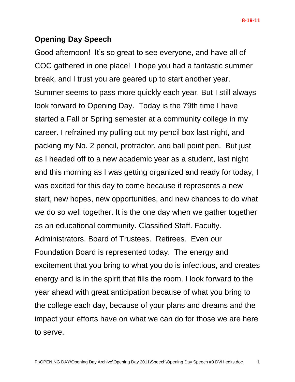## **Opening Day Speech**

Good afternoon! It's so great to see everyone, and have all of COC gathered in one place! I hope you had a fantastic summer break, and I trust you are geared up to start another year. Summer seems to pass more quickly each year. But I still always look forward to Opening Day. Today is the 79th time I have started a Fall or Spring semester at a community college in my career. I refrained my pulling out my pencil box last night, and packing my No. 2 pencil, protractor, and ball point pen. But just as I headed off to a new academic year as a student, last night and this morning as I was getting organized and ready for today, I was excited for this day to come because it represents a new start, new hopes, new opportunities, and new chances to do what we do so well together. It is the one day when we gather together as an educational community. Classified Staff. Faculty. Administrators. Board of Trustees. Retirees. Even our Foundation Board is represented today. The energy and excitement that you bring to what you do is infectious, and creates energy and is in the spirit that fills the room. I look forward to the year ahead with great anticipation because of what you bring to the college each day, because of your plans and dreams and the impact your efforts have on what we can do for those we are here to serve.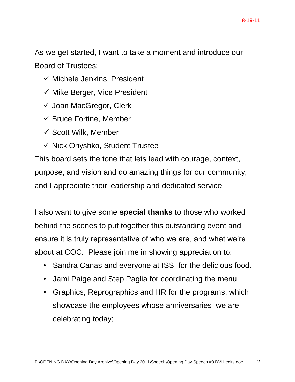As we get started, I want to take a moment and introduce our Board of Trustees:

- $\checkmark$  Michele Jenkins, President
- $\checkmark$  Mike Berger, Vice President
- $\checkmark$  Joan MacGregor, Clerk
- $\checkmark$  Bruce Fortine, Member
- $\checkmark$  Scott Wilk, Member
- $\checkmark$  Nick Onyshko, Student Trustee

This board sets the tone that lets lead with courage, context, purpose, and vision and do amazing things for our community, and I appreciate their leadership and dedicated service.

I also want to give some **special thanks** to those who worked behind the scenes to put together this outstanding event and ensure it is truly representative of who we are, and what we're about at COC. Please join me in showing appreciation to:

- Sandra Canas and everyone at ISSI for the delicious food.
- Jami Paige and Step Paglia for coordinating the menu;
- Graphics, Reprographics and HR for the programs, which showcase the employees whose anniversaries we are celebrating today;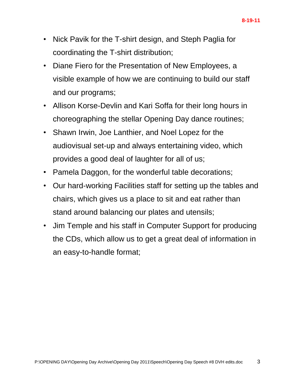- Nick Pavik for the T-shirt design, and Steph Paglia for coordinating the T-shirt distribution;
- Diane Fiero for the Presentation of New Employees, a visible example of how we are continuing to build our staff and our programs;
- Allison Korse-Devlin and Kari Soffa for their long hours in choreographing the stellar Opening Day dance routines;
- Shawn Irwin, Joe Lanthier, and Noel Lopez for the audiovisual set-up and always entertaining video, which provides a good deal of laughter for all of us;
- Pamela Daggon, for the wonderful table decorations;
- Our hard-working Facilities staff for setting up the tables and chairs, which gives us a place to sit and eat rather than stand around balancing our plates and utensils;
- Jim Temple and his staff in Computer Support for producing the CDs, which allow us to get a great deal of information in an easy-to-handle format;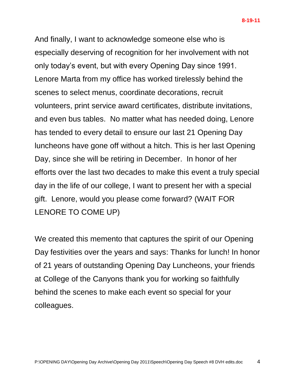And finally, I want to acknowledge someone else who is especially deserving of recognition for her involvement with not only today's event, but with every Opening Day since 1991. Lenore Marta from my office has worked tirelessly behind the scenes to select menus, coordinate decorations, recruit volunteers, print service award certificates, distribute invitations, and even bus tables. No matter what has needed doing, Lenore has tended to every detail to ensure our last 21 Opening Day luncheons have gone off without a hitch. This is her last Opening Day, since she will be retiring in December. In honor of her efforts over the last two decades to make this event a truly special day in the life of our college, I want to present her with a special gift. Lenore, would you please come forward? (WAIT FOR LENORE TO COME UP)

We created this memento that captures the spirit of our Opening Day festivities over the years and says: Thanks for lunch! In honor of 21 years of outstanding Opening Day Luncheons, your friends at College of the Canyons thank you for working so faithfully behind the scenes to make each event so special for your colleagues.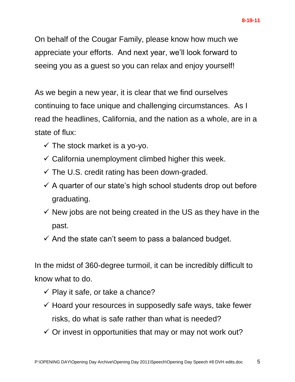On behalf of the Cougar Family, please know how much we appreciate your efforts. And next year, we'll look forward to seeing you as a guest so you can relax and enjoy yourself!

As we begin a new year, it is clear that we find ourselves continuing to face unique and challenging circumstances. As I read the headlines, California, and the nation as a whole, are in a state of flux:

- $\checkmark$  The stock market is a yo-yo.
- $\checkmark$  California unemployment climbed higher this week.
- $\checkmark$  The U.S. credit rating has been down-graded.
- $\checkmark$  A quarter of our state's high school students drop out before graduating.
- $\checkmark$  New jobs are not being created in the US as they have in the past.
- $\checkmark$  And the state can't seem to pass a balanced budget.

In the midst of 360-degree turmoil, it can be incredibly difficult to know what to do.

- $\checkmark$  Play it safe, or take a chance?
- $\checkmark$  Hoard your resources in supposedly safe ways, take fewer risks, do what is safe rather than what is needed?
- $\checkmark$  Or invest in opportunities that may or may not work out?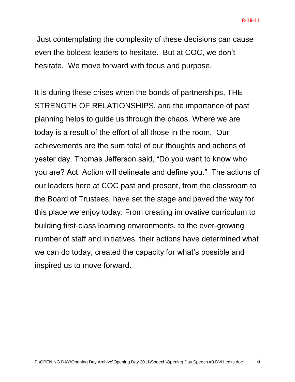Just contemplating the complexity of these decisions can cause even the boldest leaders to hesitate. But at COC, we don't hesitate. We move forward with focus and purpose.

It is during these crises when the bonds of partnerships, THE STRENGTH OF RELATIONSHIPS, and the importance of past planning helps to guide us through the chaos. Where we are today is a result of the effort of all those in the room. Our achievements are the sum total of our thoughts and actions of yester day. Thomas Jefferson said, "Do you want to know who you are? Act. Action will delineate and define you." The actions of our leaders here at COC past and present, from the classroom to the Board of Trustees, have set the stage and paved the way for this place we enjoy today. From creating innovative curriculum to building first-class learning environments, to the ever-growing number of staff and initiatives, their actions have determined what we can do today, created the capacity for what's possible and inspired us to move forward.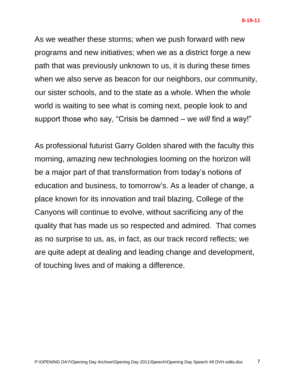As we weather these storms; when we push forward with new programs and new initiatives; when we as a district forge a new path that was previously unknown to us, it is during these times when we also serve as beacon for our neighbors, our community, our sister schools, and to the state as a whole. When the whole world is waiting to see what is coming next, people look to and support those who say, "Crisis be damned – we *will* find a way!"

As professional futurist Garry Golden shared with the faculty this morning, amazing new technologies looming on the horizon will be a major part of that transformation from today's notions of education and business, to tomorrow's. As a leader of change, a place known for its innovation and trail blazing, College of the Canyons will continue to evolve, without sacrificing any of the quality that has made us so respected and admired. That comes as no surprise to us, as, in fact, as our track record reflects; we are quite adept at dealing and leading change and development, of touching lives and of making a difference.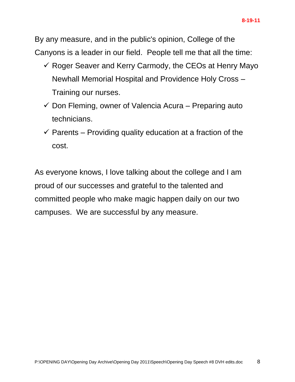By any measure, and in the public's opinion, College of the Canyons is a leader in our field. People tell me that all the time:

- $\checkmark$  Roger Seaver and Kerry Carmody, the CEOs at Henry Mayo Newhall Memorial Hospital and Providence Holy Cross – Training our nurses.
- $\checkmark$  Don Fleming, owner of Valencia Acura Preparing auto technicians.
- $\checkmark$  Parents Providing quality education at a fraction of the cost.

As everyone knows, I love talking about the college and I am proud of our successes and grateful to the talented and committed people who make magic happen daily on our two campuses. We are successful by any measure.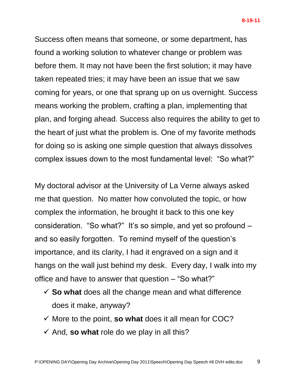Success often means that someone, or some department, has found a working solution to whatever change or problem was before them. It may not have been the first solution; it may have taken repeated tries; it may have been an issue that we saw coming for years, or one that sprang up on us overnight. Success means working the problem, crafting a plan, implementing that plan, and forging ahead. Success also requires the ability to get to the heart of just what the problem is. One of my favorite methods for doing so is asking one simple question that always dissolves complex issues down to the most fundamental level: "So what?"

My doctoral advisor at the University of La Verne always asked me that question. No matter how convoluted the topic, or how complex the information, he brought it back to this one key consideration. "So what?" It's so simple, and yet so profound – and so easily forgotten. To remind myself of the question's importance, and its clarity, I had it engraved on a sign and it hangs on the wall just behind my desk. Every day, I walk into my office and have to answer that question – "So what?"

- $\checkmark$  **So what** does all the change mean and what difference does it make, anyway?
- $\checkmark$  More to the point, **so what** does it all mean for COC?
- $\checkmark$  And, so what role do we play in all this?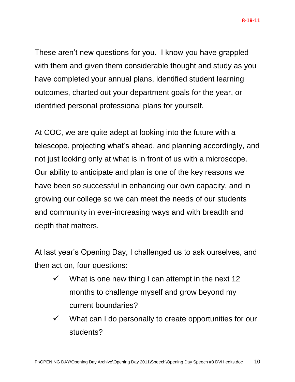These aren't new questions for you. I know you have grappled with them and given them considerable thought and study as you have completed your annual plans, identified student learning outcomes, charted out your department goals for the year, or identified personal professional plans for yourself.

At COC, we are quite adept at looking into the future with a telescope, projecting what's ahead, and planning accordingly, and not just looking only at what is in front of us with a microscope. Our ability to anticipate and plan is one of the key reasons we have been so successful in enhancing our own capacity, and in growing our college so we can meet the needs of our students and community in ever-increasing ways and with breadth and depth that matters.

At last year's Opening Day, I challenged us to ask ourselves, and then act on, four questions:

- $\checkmark$  What is one new thing I can attempt in the next 12 months to challenge myself and grow beyond my current boundaries?
- $\checkmark$  What can I do personally to create opportunities for our students?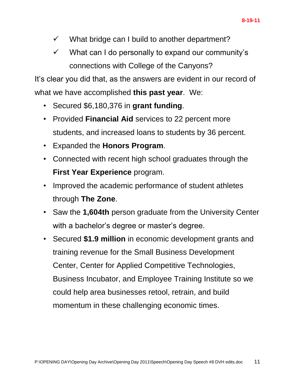- $\checkmark$  What bridge can I build to another department?
- $\checkmark$  What can I do personally to expand our community's connections with College of the Canyons?

It's clear you did that, as the answers are evident in our record of what we have accomplished **this past year**. We:

- Secured \$6,180,376 in **grant funding**.
- Provided **Financial Aid** services to 22 percent more students, and increased loans to students by 36 percent.
- Expanded the **Honors Program**.
- Connected with recent high school graduates through the **First Year Experience** program.
- Improved the academic performance of student athletes through **The Zone**.
- Saw the **1,604th** person graduate from the University Center with a bachelor's degree or master's degree.
- Secured **\$1.9 million** in economic development grants and training revenue for the Small Business Development Center, Center for Applied Competitive Technologies, Business Incubator, and Employee Training Institute so we could help area businesses retool, retrain, and build momentum in these challenging economic times.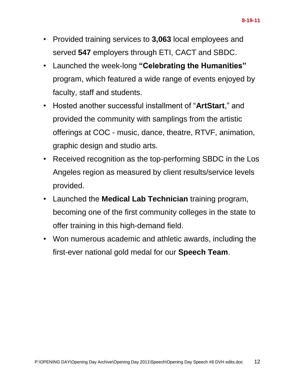- Provided training services to **3,063** local employees and served **547** employers through ETI, CACT and SBDC.
- Launched the week-long **"Celebrating the Humanities"** program, which featured a wide range of events enjoyed by faculty, staff and students.
- Hosted another successful installment of "**ArtStart**," and provided the community with samplings from the artistic offerings at COC - music, dance, theatre, RTVF, animation, graphic design and studio arts.
- Received recognition as the top-performing SBDC in the Los Angeles region as measured by client results/service levels provided.
- Launched the **Medical Lab Technician** training program, becoming one of the first community colleges in the state to offer training in this high-demand field.
- Won numerous academic and athletic awards, including the first-ever national gold medal for our **Speech Team**.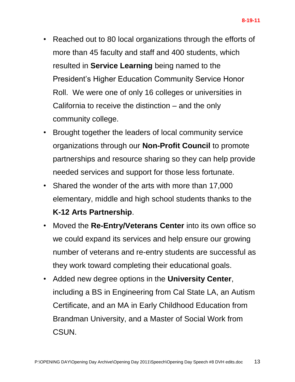- Reached out to 80 local organizations through the efforts of more than 45 faculty and staff and 400 students, which resulted in **Service Learning** being named to the President's Higher Education Community Service Honor Roll. We were one of only 16 colleges or universities in California to receive the distinction – and the only community college.
- Brought together the leaders of local community service organizations through our **Non-Profit Council** to promote partnerships and resource sharing so they can help provide needed services and support for those less fortunate.
- Shared the wonder of the arts with more than 17,000 elementary, middle and high school students thanks to the **K-12 Arts Partnership**.
- Moved the **Re-Entry/Veterans Center** into its own office so we could expand its services and help ensure our growing number of veterans and re-entry students are successful as they work toward completing their educational goals.
- Added new degree options in the **University Center**, including a BS in Engineering from Cal State LA, an Autism Certificate, and an MA in Early Childhood Education from Brandman University, and a Master of Social Work from CSUN.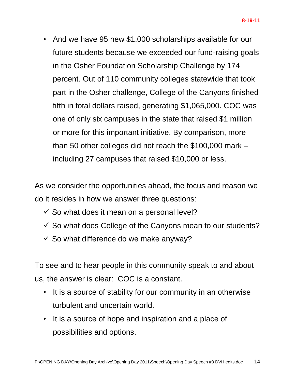• And we have 95 new \$1,000 scholarships available for our future students because we exceeded our fund-raising goals in the Osher Foundation Scholarship Challenge by 174 percent. Out of 110 community colleges statewide that took part in the Osher challenge, College of the Canyons finished fifth in total dollars raised, generating \$1,065,000. COC was one of only six campuses in the state that raised \$1 million or more for this important initiative. By comparison, more than 50 other colleges did not reach the \$100,000 mark – including 27 campuses that raised \$10,000 or less.

As we consider the opportunities ahead, the focus and reason we do it resides in how we answer three questions:

- $\checkmark$  So what does it mean on a personal level?
- $\checkmark$  So what does College of the Canyons mean to our students?
- $\checkmark$  So what difference do we make anyway?

To see and to hear people in this community speak to and about us, the answer is clear: COC is a constant.

- It is a source of stability for our community in an otherwise turbulent and uncertain world.
- It is a source of hope and inspiration and a place of possibilities and options.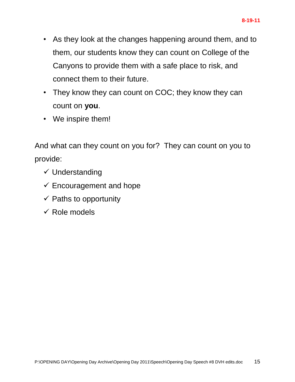- As they look at the changes happening around them, and to them, our students know they can count on College of the Canyons to provide them with a safe place to risk, and connect them to their future.
- They know they can count on COC; they know they can count on **you**.
- We inspire them!

And what can they count on you for? They can count on you to provide:

- $\checkmark$  Understanding
- $\checkmark$  Encouragement and hope
- $\checkmark$  Paths to opportunity
- $\checkmark$  Role models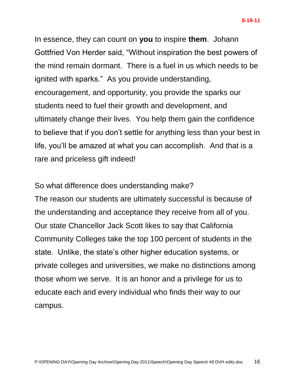In essence, they can count on **you** to inspire **them**. Johann Gottfried Von Herder said, "Without inspiration the best powers of the mind remain dormant. There is a fuel in us which needs to be ignited with sparks." As you provide understanding, encouragement, and opportunity, you provide the sparks our students need to fuel their growth and development, and ultimately change their lives. You help them gain the confidence to believe that if you don't settle for anything less than your best in life, you'll be amazed at what you can accomplish. And that is a rare and priceless gift indeed!

So what difference does understanding make? The reason our students are ultimately successful is because of the understanding and acceptance they receive from all of you. Our state Chancellor Jack Scott likes to say that California Community Colleges take the top 100 percent of students in the state. Unlike, the state's other higher education systems, or private colleges and universities, we make no distinctions among those whom we serve. It is an honor and a privilege for us to educate each and every individual who finds their way to our campus.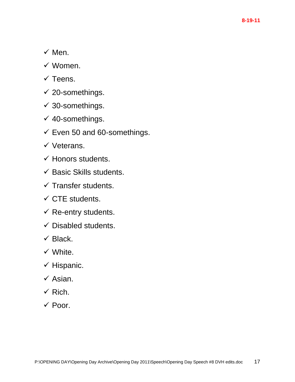- $\times$  Men.
- $\checkmark$  Women.
- $\checkmark$  Teens.
- $\checkmark$  20-somethings.
- $\checkmark$  30-somethings.
- $\checkmark$  40-somethings.
- $\checkmark$  Even 50 and 60-somethings.
- $\checkmark$  Veterans.
- $\checkmark$  Honors students.
- $\checkmark$  Basic Skills students.
- $\checkmark$  Transfer students.
- $\checkmark$  CTE students.
- $\checkmark$  Re-entry students.
- $\checkmark$  Disabled students.
- $\checkmark$  Black.
- $\checkmark$  White.
- $\checkmark$  Hispanic.
- $\checkmark$  Asian.
- $\checkmark$  Rich.
- $\checkmark$  Poor.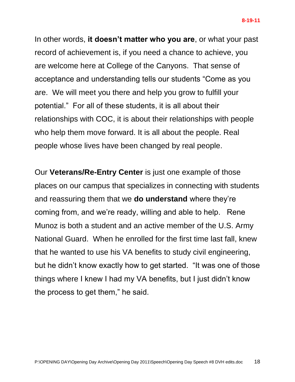In other words, **it doesn't matter who you are**, or what your past record of achievement is, if you need a chance to achieve, you are welcome here at College of the Canyons. That sense of acceptance and understanding tells our students "Come as you are. We will meet you there and help you grow to fulfill your potential." For all of these students, it is all about their relationships with COC, it is about their relationships with people who help them move forward. It is all about the people. Real people whose lives have been changed by real people.

Our **Veterans/Re-Entry Center** is just one example of those places on our campus that specializes in connecting with students and reassuring them that we **do understand** where they're coming from, and we're ready, willing and able to help. Rene Munoz is both a student and an active member of the U.S. Army National Guard. When he enrolled for the first time last fall, knew that he wanted to use his VA benefits to study civil engineering, but he didn't know exactly how to get started. "It was one of those things where I knew I had my VA benefits, but I just didn't know the process to get them," he said.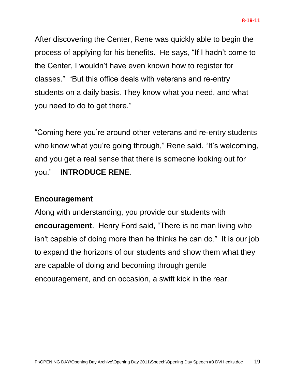After discovering the Center, Rene was quickly able to begin the process of applying for his benefits. He says, "If I hadn't come to the Center, I wouldn't have even known how to register for classes." "But this office deals with veterans and re-entry students on a daily basis. They know what you need, and what you need to do to get there."

"Coming here you're around other veterans and re-entry students who know what you're going through," Rene said. "It's welcoming, and you get a real sense that there is someone looking out for you." **INTRODUCE RENE**.

## **Encouragement**

Along with understanding, you provide our students with **encouragement**. Henry Ford said, "There is no man living who isn't capable of doing more than he thinks he can do." It is our job to expand the horizons of our students and show them what they are capable of doing and becoming through gentle encouragement, and on occasion, a swift kick in the rear.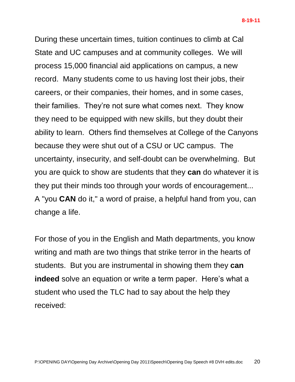During these uncertain times, tuition continues to climb at Cal State and UC campuses and at community colleges. We will process 15,000 financial aid applications on campus, a new record. Many students come to us having lost their jobs, their careers, or their companies, their homes, and in some cases, their families. They're not sure what comes next. They know they need to be equipped with new skills, but they doubt their ability to learn. Others find themselves at College of the Canyons because they were shut out of a CSU or UC campus. The uncertainty, insecurity, and self-doubt can be overwhelming. But you are quick to show are students that they **can** do whatever it is they put their minds too through your words of encouragement... A "you **CAN** do it," a word of praise, a helpful hand from you, can change a life.

For those of you in the English and Math departments, you know writing and math are two things that strike terror in the hearts of students. But you are instrumental in showing them they **can indeed** solve an equation or write a term paper. Here's what a student who used the TLC had to say about the help they received: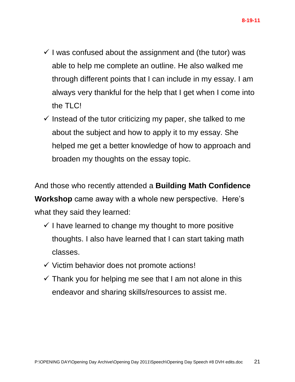- $\checkmark$  I was confused about the assignment and (the tutor) was able to help me complete an outline. He also walked me through different points that I can include in my essay. I am always very thankful for the help that I get when I come into the TLC!
- $\checkmark$  Instead of the tutor criticizing my paper, she talked to me about the subject and how to apply it to my essay. She helped me get a better knowledge of how to approach and broaden my thoughts on the essay topic.

And those who recently attended a **Building Math Confidence Workshop** came away with a whole new perspective. Here's what they said they learned:

- $\checkmark$  I have learned to change my thought to more positive thoughts. I also have learned that I can start taking math classes.
- $\checkmark$  Victim behavior does not promote actions!
- $\checkmark$  Thank you for helping me see that I am not alone in this endeavor and sharing skills/resources to assist me.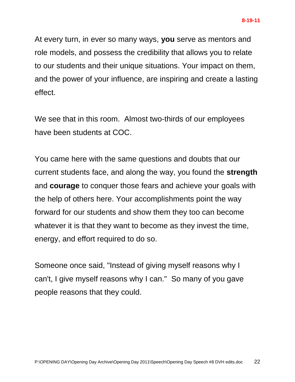At every turn, in ever so many ways, **you** serve as mentors and role models, and possess the credibility that allows you to relate to our students and their unique situations. Your impact on them, and the power of your influence, are inspiring and create a lasting effect.

We see that in this room. Almost two-thirds of our employees have been students at COC.

You came here with the same questions and doubts that our current students face, and along the way, you found the **strength** and **courage** to conquer those fears and achieve your goals with the help of others here. Your accomplishments point the way forward for our students and show them they too can become whatever it is that they want to become as they invest the time, energy, and effort required to do so.

Someone once said, "Instead of giving myself reasons why I can't, I give myself reasons why I can." So many of you gave people reasons that they could.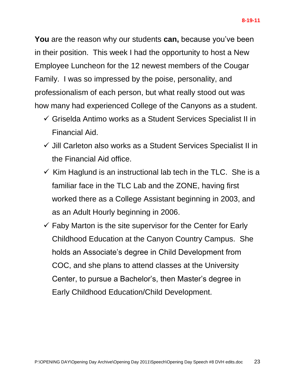**You** are the reason why our students **can,** because you've been in their position. This week I had the opportunity to host a New Employee Luncheon for the 12 newest members of the Cougar Family. I was so impressed by the poise, personality, and professionalism of each person, but what really stood out was how many had experienced College of the Canyons as a student.

- Griselda Antimo works as a Student Services Specialist II in Financial Aid.
- $\checkmark$  Jill Carleton also works as a Student Services Specialist II in the Financial Aid office.
- $\checkmark$  Kim Haglund is an instructional lab tech in the TLC. She is a familiar face in the TLC Lab and the ZONE, having first worked there as a College Assistant beginning in 2003, and as an Adult Hourly beginning in 2006.
- $\checkmark$  Faby Marton is the site supervisor for the Center for Early Childhood Education at the Canyon Country Campus. She holds an Associate's degree in Child Development from COC, and she plans to attend classes at the University Center, to pursue a Bachelor's, then Master's degree in Early Childhood Education/Child Development.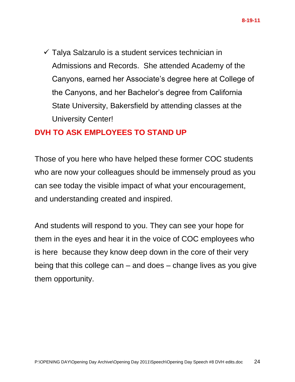$\checkmark$  Talya Salzarulo is a student services technician in Admissions and Records. She attended Academy of the Canyons, earned her Associate's degree here at College of the Canyons, and her Bachelor's degree from California State University, Bakersfield by attending classes at the University Center!

## **DVH TO ASK EMPLOYEES TO STAND UP**

Those of you here who have helped these former COC students who are now your colleagues should be immensely proud as you can see today the visible impact of what your encouragement, and understanding created and inspired.

And students will respond to you. They can see your hope for them in the eyes and hear it in the voice of COC employees who is here because they know deep down in the core of their very being that this college can – and does – change lives as you give them opportunity.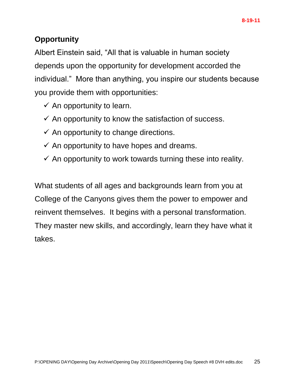## **Opportunity**

Albert Einstein said, "All that is valuable in human society depends upon the opportunity for development accorded the individual." More than anything, you inspire our students because you provide them with opportunities:

- $\checkmark$  An opportunity to learn.
- $\checkmark$  An opportunity to know the satisfaction of success.
- $\checkmark$  An opportunity to change directions.
- $\checkmark$  An opportunity to have hopes and dreams.
- $\checkmark$  An opportunity to work towards turning these into reality.

What students of all ages and backgrounds learn from you at College of the Canyons gives them the power to empower and reinvent themselves. It begins with a personal transformation. They master new skills, and accordingly, learn they have what it takes.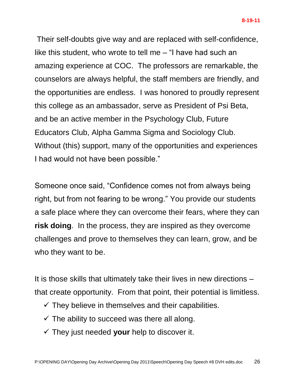Their self-doubts give way and are replaced with self-confidence, like this student, who wrote to tell me – "I have had such an amazing experience at COC. The professors are remarkable, the counselors are always helpful, the staff members are friendly, and the opportunities are endless. I was honored to proudly represent this college as an ambassador, serve as President of Psi Beta, and be an active member in the Psychology Club, Future Educators Club, Alpha Gamma Sigma and Sociology Club. Without (this) support, many of the opportunities and experiences I had would not have been possible."

Someone once said, "Confidence comes not from always being right, but from not fearing to be wrong." You provide our students a safe place where they can overcome their fears, where they can **risk doing**. In the process, they are inspired as they overcome challenges and prove to themselves they can learn, grow, and be who they want to be.

It is those skills that ultimately take their lives in new directions – that create opportunity. From that point, their potential is limitless.

- $\checkmark$  They believe in themselves and their capabilities.
- $\checkmark$  The ability to succeed was there all along.
- $\checkmark$  They just needed your help to discover it.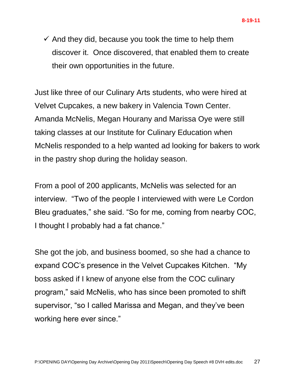$\checkmark$  And they did, because you took the time to help them discover it. Once discovered, that enabled them to create their own opportunities in the future.

Just like three of our Culinary Arts students, who were hired at Velvet Cupcakes, a new bakery in Valencia Town Center. Amanda McNelis, Megan Hourany and Marissa Oye were still taking classes at our Institute for Culinary Education when McNelis responded to a help wanted ad looking for bakers to work in the pastry shop during the holiday season.

From a pool of 200 applicants, McNelis was selected for an interview. "Two of the people I interviewed with were Le Cordon Bleu graduates," she said. "So for me, coming from nearby COC, I thought I probably had a fat chance."

She got the job, and business boomed, so she had a chance to expand COC's presence in the Velvet Cupcakes Kitchen. "My boss asked if I knew of anyone else from the COC culinary program," said McNelis, who has since been promoted to shift supervisor, "so I called Marissa and Megan, and they've been working here ever since."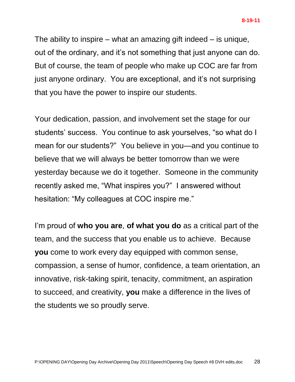The ability to inspire – what an amazing gift indeed – is unique, out of the ordinary, and it's not something that just anyone can do. But of course, the team of people who make up COC are far from just anyone ordinary. You are exceptional, and it's not surprising that you have the power to inspire our students.

Your dedication, passion, and involvement set the stage for our students' success. You continue to ask yourselves, "so what do I mean for our students?" You believe in you—and you continue to believe that we will always be better tomorrow than we were yesterday because we do it together. Someone in the community recently asked me, "What inspires you?" I answered without hesitation: "My colleagues at COC inspire me."

I'm proud of **who you are**, **of what you do** as a critical part of the team, and the success that you enable us to achieve. Because **you** come to work every day equipped with common sense, compassion, a sense of humor, confidence, a team orientation, an innovative, risk-taking spirit, tenacity, commitment, an aspiration to succeed, and creativity, **you** make a difference in the lives of the students we so proudly serve.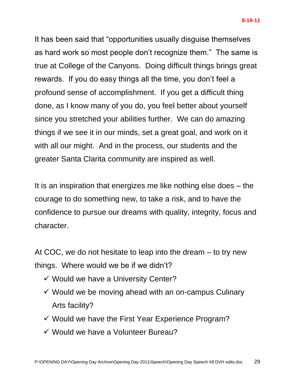It has been said that "opportunities usually disguise themselves as hard work so most people don't recognize them." The same is true at College of the Canyons. Doing difficult things brings great rewards. If you do easy things all the time, you don't feel a profound sense of accomplishment. If you get a difficult thing done, as I know many of you do, you feel better about yourself since you stretched your abilities further. We can do amazing things if we see it in our minds, set a great goal, and work on it with all our might. And in the process, our students and the greater Santa Clarita community are inspired as well.

It is an inspiration that energizes me like nothing else does – the courage to do something new, to take a risk, and to have the confidence to pursue our dreams with quality, integrity, focus and character.

At COC, we do not hesitate to leap into the dream – to try new things. Where would we be if we didn't?

- $\checkmark$  Would we have a University Center?
- $\checkmark$  Would we be moving ahead with an on-campus Culinary Arts facility?
- $\checkmark$  Would we have the First Year Experience Program?
- $\checkmark$  Would we have a Volunteer Bureau?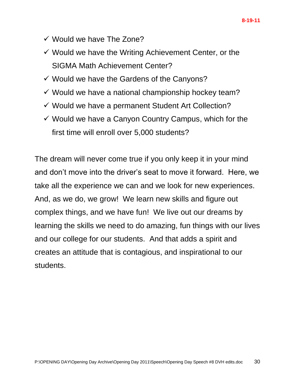- $\checkmark$  Would we have The Zone?
- $\checkmark$  Would we have the Writing Achievement Center, or the SIGMA Math Achievement Center?
- $\checkmark$  Would we have the Gardens of the Canyons?
- $\checkmark$  Would we have a national championship hockey team?
- $\checkmark$  Would we have a permanent Student Art Collection?
- $\checkmark$  Would we have a Canyon Country Campus, which for the first time will enroll over 5,000 students?

The dream will never come true if you only keep it in your mind and don't move into the driver's seat to move it forward. Here, we take all the experience we can and we look for new experiences. And, as we do, we grow! We learn new skills and figure out complex things, and we have fun! We live out our dreams by learning the skills we need to do amazing, fun things with our lives and our college for our students. And that adds a spirit and creates an attitude that is contagious, and inspirational to our students.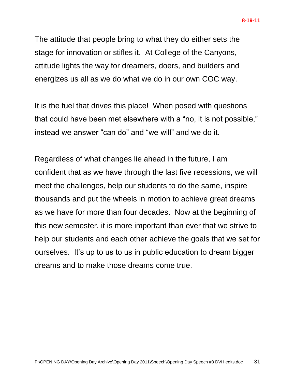The attitude that people bring to what they do either sets the stage for innovation or stifles it. At College of the Canyons, attitude lights the way for dreamers, doers, and builders and energizes us all as we do what we do in our own COC way.

It is the fuel that drives this place! When posed with questions that could have been met elsewhere with a "no, it is not possible," instead we answer "can do" and "we will" and we do it.

Regardless of what changes lie ahead in the future, I am confident that as we have through the last five recessions, we will meet the challenges, help our students to do the same, inspire thousands and put the wheels in motion to achieve great dreams as we have for more than four decades. Now at the beginning of this new semester, it is more important than ever that we strive to help our students and each other achieve the goals that we set for ourselves. It's up to us to us in public education to dream bigger dreams and to make those dreams come true.